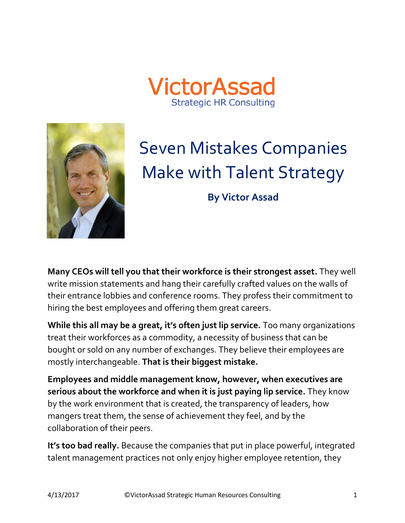



# Seven Mistakes Companies Make with Talent Strategy

**By Victor Assad**

**Many CEOs will tell you that their workforce is their strongest asset.** They well write mission statements and hang their carefully crafted values on the walls of their entrance lobbies and conference rooms. They profess their commitment to hiring the best employees and offering them great careers.

**While this all may be a great, it's often just lip service.** Too many organizations treat their workforces as a commodity, a necessity of business that can be bought or sold on any number of exchanges. They believe their employees are mostly interchangeable. **That is their biggest mistake.**

**Employees and middle management know, however, when executives are serious about the workforce and when it is just paying lip service.** They know by the work environment that is created, the transparency of leaders, how mangers treat them, the sense of achievement they feel, and by the collaboration of their peers.

**It's too bad really.** Because the companies that put in place powerful, integrated talent management practices not only enjoy higher employee retention, they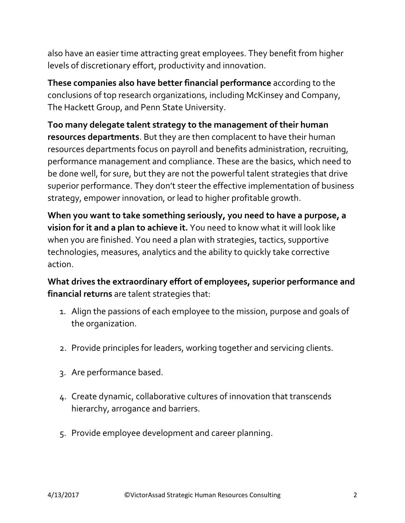also have an easier time attracting great employees. They benefit from higher levels of discretionary effort, productivity and innovation.

**These companies also have better financial performance** according to the conclusions of top research organizations, including McKinsey and Company, The Hackett Group, and Penn State University.

**Too many delegate talent strategy to the management of their human resources departments**. But they are then complacent to have their human resources departments focus on payroll and benefits administration, recruiting, performance management and compliance. These are the basics, which need to be done well, for sure, but they are not the powerful talent strategies that drive superior performance. They don't steer the effective implementation of business strategy, empower innovation, or lead to higher profitable growth.

**When you want to take something seriously, you need to have a purpose, a vision for it and a plan to achieve it.** You need to know what it will look like when you are finished. You need a plan with strategies, tactics, supportive technologies, measures, analytics and the ability to quickly take corrective action.

**What drives the extraordinary effort of employees, superior performance and financial returns** are talent strategies that:

- 1. Align the passions of each employee to the mission, purpose and goals of the organization.
- 2. Provide principles for leaders, working together and servicing clients.
- 3. Are performance based.
- 4. Create dynamic, collaborative cultures of innovation that transcends hierarchy, arrogance and barriers.
- 5. Provide employee development and career planning.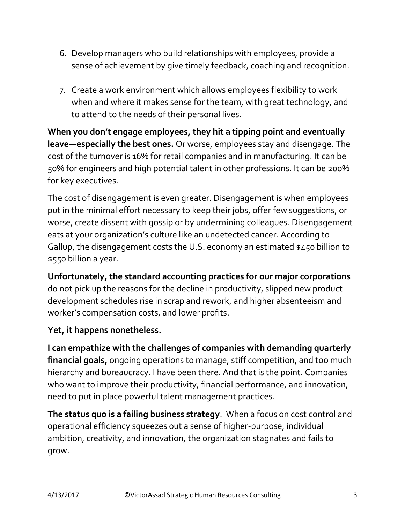- 6. Develop managers who build relationships with employees, provide a sense of achievement by give timely feedback, coaching and recognition.
- 7. Create a work environment which allows employees flexibility to work when and where it makes sense for the team, with great technology, and to attend to the needs of their personal lives.

**When you don't engage employees, they hit a tipping point and eventually leave—especially the best ones.** Or worse, employees stay and disengage. The cost of the turnover is 16% for retail companies and in manufacturing. It can be 50% for engineers and high potential talent in other professions. It can be 200% for key executives.

The cost of disengagement is even greater. Disengagement is when employees put in the minimal effort necessary to keep their jobs, offer few suggestions, or worse, create dissent with gossip or by undermining colleagues. Disengagement eats at your organization's culture like an undetected cancer. According to Gallup, the disengagement costs the U.S. economy an estimated \$450 billion to \$550 billion a year.

**Unfortunately, the standard accounting practices for our major corporations** do not pick up the reasons for the decline in productivity, slipped new product development schedules rise in scrap and rework, and higher absenteeism and worker's compensation costs, and lower profits.

#### **Yet, it happens nonetheless.**

**I can empathize with the challenges of companies with demanding quarterly financial goals,** ongoing operations to manage, stiff competition, and too much hierarchy and bureaucracy. I have been there. And that is the point. Companies who want to improve their productivity, financial performance, and innovation, need to put in place powerful talent management practices.

**The status quo is a failing business strategy**. When a focus on cost control and operational efficiency squeezes out a sense of higher-purpose, individual ambition, creativity, and innovation, the organization stagnates and fails to grow.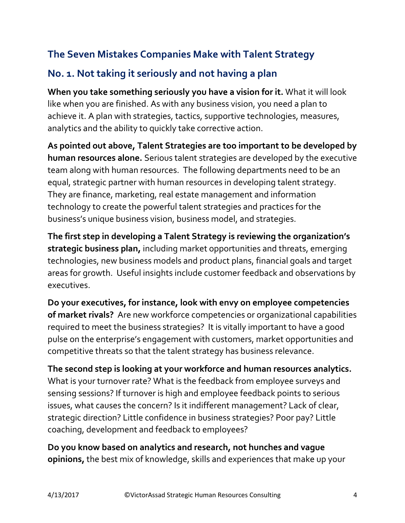#### **The Seven Mistakes Companies Make with Talent Strategy**

#### **No. 1. Not taking it seriously and not having a plan**

**When you take something seriously you have a vision for it.** What it will look like when you are finished. As with any business vision, you need a plan to achieve it. A plan with strategies, tactics, supportive technologies, measures, analytics and the ability to quickly take corrective action.

**As pointed out above, Talent Strategies are too important to be developed by human resources alone.** Serious talent strategies are developed by the executive team along with human resources. The following departments need to be an equal, strategic partner with human resources in developing talent strategy. They are finance, marketing, real estate management and information technology to create the powerful talent strategies and practices for the business's unique business vision, business model, and strategies.

**The first step in developing a Talent Strategy is reviewing the organization's strategic business plan,** including market opportunities and threats, emerging technologies, new business models and product plans, financial goals and target areas for growth. Useful insights include customer feedback and observations by executives.

**Do your executives, for instance, look with envy on employee competencies of market rivals?** Are new workforce competencies or organizational capabilities required to meet the business strategies? It is vitally important to have a good pulse on the enterprise's engagement with customers, market opportunities and competitive threats so that the talent strategy has business relevance.

**The second step is looking at your workforce and human resources analytics.** What is your turnover rate? What is the feedback from employee surveys and sensing sessions? If turnover is high and employee feedback points to serious issues, what causes the concern? Is it indifferent management? Lack of clear, strategic direction? Little confidence in business strategies? Poor pay? Little coaching, development and feedback to employees?

**Do you know based on analytics and research, not hunches and vague opinions,** the best mix of knowledge, skills and experiences that make up your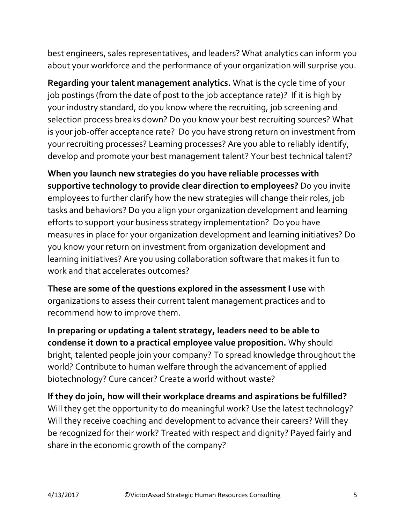best engineers, sales representatives, and leaders? What analytics can inform you about your workforce and the performance of your organization will surprise you.

**Regarding your talent management analytics.** What is the cycle time of your job postings (from the date of post to the job acceptance rate)? If it is high by your industry standard, do you know where the recruiting, job screening and selection process breaks down? Do you know your best recruiting sources? What is your job-offer acceptance rate? Do you have strong return on investment from your recruiting processes? Learning processes? Are you able to reliably identify, develop and promote your best management talent? Your best technical talent?

**When you launch new strategies do you have reliable processes with supportive technology to provide clear direction to employees?** Do you invite employees to further clarify how the new strategies will change their roles, job tasks and behaviors? Do you align your organization development and learning efforts to support your business strategy implementation? Do you have measures in place for your organization development and learning initiatives? Do you know your return on investment from organization development and learning initiatives? Are you using collaboration software that makes it fun to work and that accelerates outcomes?

**These are some of the questions explored in the assessment I use** with organizations to assess their current talent management practices and to recommend how to improve them.

**In preparing or updating a talent strategy, leaders need to be able to condense it down to a practical employee value proposition.** Why should bright, talented people join your company? To spread knowledge throughout the world? Contribute to human welfare through the advancement of applied biotechnology? Cure cancer? Create a world without waste?

**If they do join, how will their workplace dreams and aspirations be fulfilled?** Will they get the opportunity to do meaningful work? Use the latest technology? Will they receive coaching and development to advance their careers? Will they be recognized for their work? Treated with respect and dignity? Payed fairly and share in the economic growth of the company?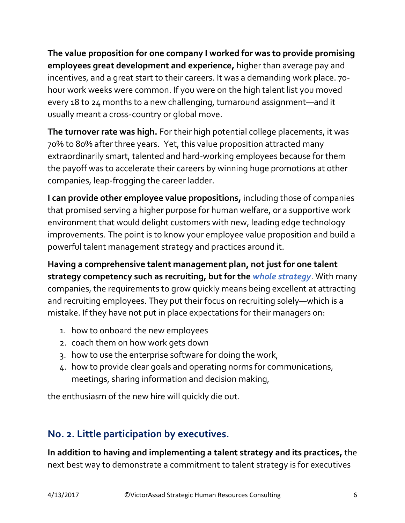**The value proposition for one company I worked for was to provide promising employees great development and experience,** higher than average pay and incentives, and a great start to their careers. It was a demanding work place. 70 hour work weeks were common. If you were on the high talent list you moved every 18 to 24 months to a new challenging, turnaround assignment—and it usually meant a cross-country or global move.

**The turnover rate was high.** For their high potential college placements, it was 70% to 80% after three years. Yet, this value proposition attracted many extraordinarily smart, talented and hard-working employees because for them the payoff was to accelerate their careers by winning huge promotions at other companies, leap-frogging the career ladder.

**I can provide other employee value propositions,** including those of companies that promised serving a higher purpose for human welfare, or a supportive work environment that would delight customers with new, leading edge technology improvements. The point is to know your employee value proposition and build a powerful talent management strategy and practices around it.

**Having a comprehensive talent management plan, not just for one talent strategy competency such as recruiting, but for the** *whole strategy*. With many companies, the requirements to grow quickly means being excellent at attracting and recruiting employees. They put their focus on recruiting solely—which is a mistake. If they have not put in place expectations for their managers on:

- 1. how to onboard the new employees
- 2. coach them on how work gets down
- 3. how to use the enterprise software for doing the work,
- 4. how to provide clear goals and operating norms for communications, meetings, sharing information and decision making,

the enthusiasm of the new hire will quickly die out.

### **No. 2. Little participation by executives.**

**In addition to having and implementing a talent strategy and its practices,** the next best way to demonstrate a commitment to talent strategy is for executives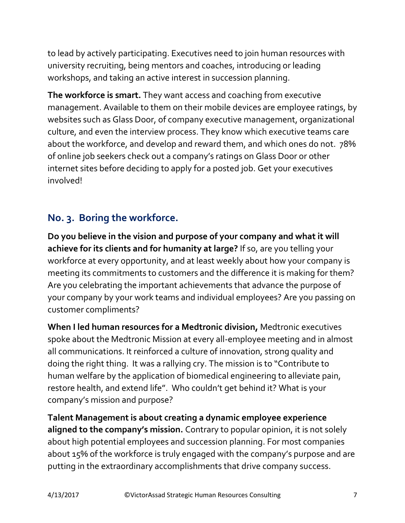to lead by actively participating. Executives need to join human resources with university recruiting, being mentors and coaches, introducing or leading workshops, and taking an active interest in succession planning.

**The workforce is smart.** They want access and coaching from executive management. Available to them on their mobile devices are employee ratings, by websites such as Glass Door, of company executive management, organizational culture, and even the interview process. They know which executive teams care about the workforce, and develop and reward them, and which ones do not. 78% of online job seekers check out a company's ratings on Glass Door or other internet sites before deciding to apply for a posted job. Get your executives involved!

#### **No. 3. Boring the workforce.**

**Do you believe in the vision and purpose of your company and what it will achieve for its clients and for humanity at large?** If so, are you telling your workforce at every opportunity, and at least weekly about how your company is meeting its commitments to customers and the difference it is making for them? Are you celebrating the important achievements that advance the purpose of your company by your work teams and individual employees? Are you passing on customer compliments?

**When I led human resources for a Medtronic division,** Medtronic executives spoke about the Medtronic Mission at every all-employee meeting and in almost all communications. It reinforced a culture of innovation, strong quality and doing the right thing. It was a rallying cry. The mission is to "Contribute to human welfare by the application of biomedical engineering to alleviate pain, restore health, and extend life". Who couldn't get behind it? What is your company's mission and purpose?

**Talent Management is about creating a dynamic employee experience aligned to the company's mission.** Contrary to popular opinion, it is not solely about high potential employees and succession planning. For most companies about 15% of the workforce is truly engaged with the company's purpose and are putting in the extraordinary accomplishments that drive company success.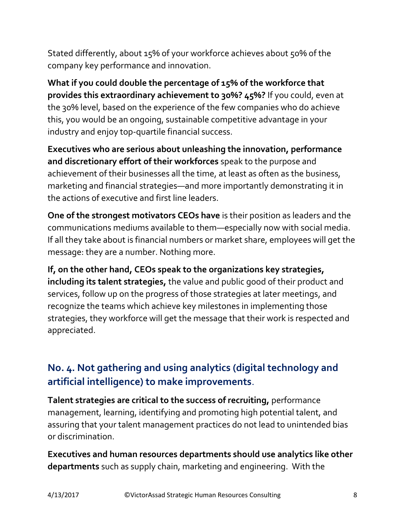Stated differently, about 15% of your workforce achieves about 50% of the company key performance and innovation.

**What if you could double the percentage of 15% of the workforce that provides this extraordinary achievement to 30%? 45%?** If you could, even at the 30% level, based on the experience of the few companies who do achieve this, you would be an ongoing, sustainable competitive advantage in your industry and enjoy top-quartile financial success.

**Executives who are serious about unleashing the innovation, performance and discretionary effort of their workforces** speak to the purpose and achievement of their businesses all the time, at least as often as the business, marketing and financial strategies—and more importantly demonstrating it in the actions of executive and first line leaders.

**One of the strongest motivators CEOs have** is their position as leaders and the communications mediums available to them—especially now with social media. If all they take about is financial numbers or market share, employees will get the message: they are a number. Nothing more.

**If, on the other hand, CEOs speak to the organizations key strategies, including its talent strategies,** the value and public good of their product and services, follow up on the progress of those strategies at later meetings, and recognize the teams which achieve key milestones in implementing those strategies, they workforce will get the message that their work is respected and appreciated.

### **No. 4. Not gathering and using analytics (digital technology and artificial intelligence) to make improvements**.

**Talent strategies are critical to the success of recruiting,** performance management, learning, identifying and promoting high potential talent, and assuring that your talent management practices do not lead to unintended bias or discrimination.

**Executives and human resources departments should use analytics like other departments** such as supply chain, marketing and engineering. With the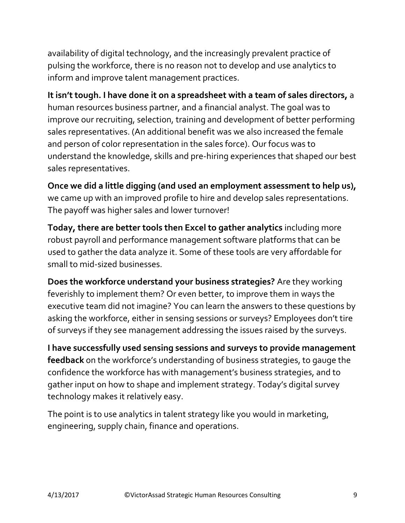availability of digital technology, and the increasingly prevalent practice of pulsing the workforce, there is no reason not to develop and use analytics to inform and improve talent management practices.

**It isn't tough. I have done it on a spreadsheet with a team of sales directors,** a human resources business partner, and a financial analyst. The goal was to improve our recruiting, selection, training and development of better performing sales representatives. (An additional benefit was we also increased the female and person of color representation in the sales force). Our focus was to understand the knowledge, skills and pre-hiring experiences that shaped our best sales representatives.

**Once we did a little digging (and used an employment assessment to help us),** we came up with an improved profile to hire and develop sales representations. The payoff was higher sales and lower turnover!

**Today, there are better tools then Excel to gather analytics** including more robust payroll and performance management software platforms that can be used to gather the data analyze it. Some of these tools are very affordable for small to mid-sized businesses.

**Does the workforce understand your business strategies?** Are they working feverishly to implement them? Or even better, to improve them in ways the executive team did not imagine? You can learn the answers to these questions by asking the workforce, either in sensing sessions or surveys? Employees don't tire of surveys if they see management addressing the issues raised by the surveys.

**I have successfully used sensing sessions and surveys to provide management feedback** on the workforce's understanding of business strategies, to gauge the confidence the workforce has with management's business strategies, and to gather input on how to shape and implement strategy. Today's digital survey technology makes it relatively easy.

The point is to use analytics in talent strategy like you would in marketing, engineering, supply chain, finance and operations.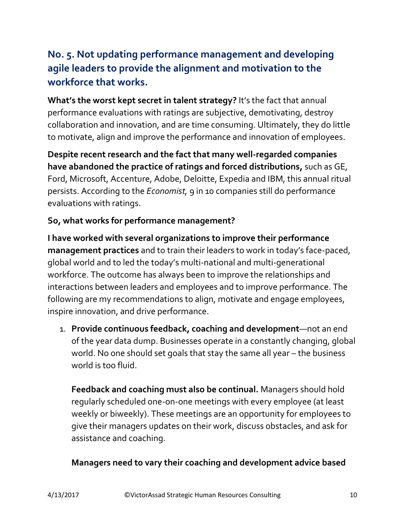## **No. 5. Not updating performance management and developing agile leaders to provide the alignment and motivation to the workforce that works.**

**What's the worst kept secret in talent strategy?** It's the fact that annual performance evaluations with ratings are subjective, demotivating, destroy collaboration and innovation, and are time consuming. Ultimately, they do little to motivate, align and improve the performance and innovation of employees.

**Despite recent research and the fact that many well-regarded companies have abandoned the practice of ratings and forced distributions,** such as GE, Ford, Microsoft, Accenture, Adobe, Deloitte, Expedia and IBM, this annual ritual persists. According to the *Economist,* 9 in 10 companies still do performance evaluations with ratings.

#### **So, what works for performance management?**

**I have worked with several organizations to improve their performance management practices** and to train their leaders to work in today's face-paced, global world and to led the today's multi-national and multi-generational workforce. The outcome has always been to improve the relationships and interactions between leaders and employees and to improve performance. The following are my recommendations to align, motivate and engage employees, inspire innovation, and drive performance.

1. **Provide continuous feedback, coaching and development**—not an end of the year data dump. Businesses operate in a constantly changing, global world. No one should set goals that stay the same all year – the business world is too fluid.

**Feedback and coaching must also be continual.** Managers should hold regularly scheduled one-on-one meetings with every employee (at least weekly or biweekly). These meetings are an opportunity for employees to give their managers updates on their work, discuss obstacles, and ask for assistance and coaching.

#### **Managers need to vary their coaching and development advice based**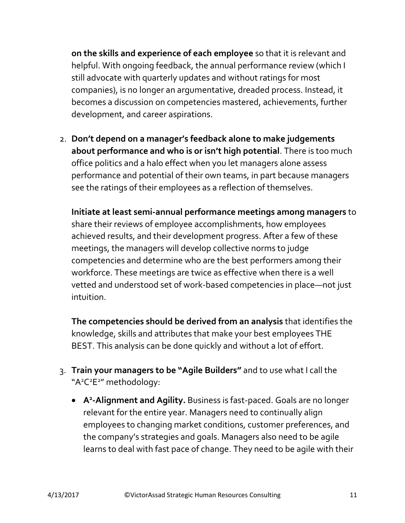**on the skills and experience of each employee** so that it is relevant and helpful. With ongoing feedback, the annual performance review (which I still advocate with quarterly updates and without ratings for most companies), is no longer an argumentative, dreaded process. Instead, it becomes a discussion on competencies mastered, achievements, further development, and career aspirations.

2. **Don't depend on a manager's feedback alone to make judgements about performance and who is or isn't high potential**. There is too much office politics and a halo effect when you let managers alone assess performance and potential of their own teams, in part because managers see the ratings of their employees as a reflection of themselves.

**Initiate at least semi-annual performance meetings among managers** to share their reviews of employee accomplishments, how employees achieved results, and their development progress. After a few of these meetings, the managers will develop collective norms to judge competencies and determine who are the best performers among their workforce. These meetings are twice as effective when there is a well vetted and understood set of work-based competencies in place—not just intuition.

**The competencies should be derived from an analysis** that identifies the knowledge, skills and attributes that make your best employees THE BEST. This analysis can be done quickly and without a lot of effort.

- 3. **Train your managers to be "Agile Builders"** and to use what I call the "A<sup>2</sup>C<sup>2</sup>E<sup>2</sup>" methodology:
	- **A 2 -Alignment and Agility.** Business is fast-paced. Goals are no longer relevant for the entire year. Managers need to continually align employees to changing market conditions, customer preferences, and the company's strategies and goals. Managers also need to be agile learns to deal with fast pace of change. They need to be agile with their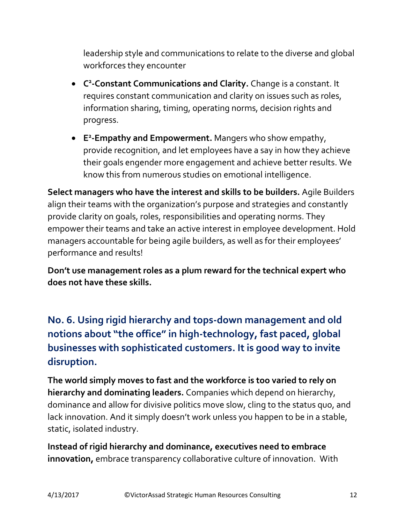leadership style and communications to relate to the diverse and global workforces they encounter

- **C 2 -Constant Communications and Clarity.** Change is a constant. It requires constant communication and clarity on issues such as roles, information sharing, timing, operating norms, decision rights and progress.
- **E 2 -Empathy and Empowerment.** Mangers who show empathy, provide recognition, and let employees have a say in how they achieve their goals engender more engagement and achieve better results. We know this from numerous studies on emotional intelligence.

**Select managers who have the interest and skills to be builders.** Agile Builders align their teams with the organization's purpose and strategies and constantly provide clarity on goals, roles, responsibilities and operating norms. They empower their teams and take an active interest in employee development. Hold managers accountable for being agile builders, as well as for their employees' performance and results!

**Don't use management roles as a plum reward for the technical expert who does not have these skills.**

**No. 6. Using rigid hierarchy and tops-down management and old notions about "the office" in high-technology, fast paced, global businesses with sophisticated customers. It is good way to invite disruption.**

**The world simply moves to fast and the workforce is too varied to rely on hierarchy and dominating leaders.** Companies which depend on hierarchy, dominance and allow for divisive politics move slow, cling to the status quo, and lack innovation. And it simply doesn't work unless you happen to be in a stable, static, isolated industry.

**Instead of rigid hierarchy and dominance, executives need to embrace innovation,** embrace transparency collaborative culture of innovation. With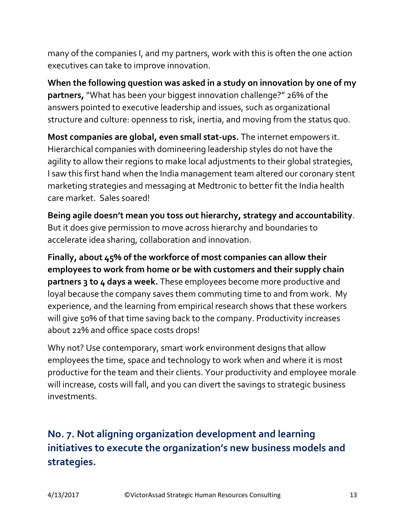many of the companies I, and my partners, work with this is often the one action executives can take to improve innovation.

**When the following question was asked in a study on innovation by one of my partners,**"What has been your biggest innovation challenge?" 26% of the answers pointed to executive leadership and issues, such as organizational structure and culture: openness to risk, inertia, and moving from the status quo.

**Most companies are global, even small stat-ups.** The internet empowers it. Hierarchical companies with domineering leadership styles do not have the agility to allow their regions to make local adjustments to their global strategies, I saw this first hand when the India management team altered our coronary stent marketing strategies and messaging at Medtronic to better fit the India health care market. Sales soared!

**Being agile doesn't mean you toss out hierarchy, strategy and accountability**. But it does give permission to move across hierarchy and boundaries to accelerate idea sharing, collaboration and innovation.

**Finally, about 45% of the workforce of most companies can allow their employees to work from home or be with customers and their supply chain partners 3 to 4 days a week.** These employees become more productive and loyal because the company saves them commuting time to and from work. My experience, and the learning from empirical research shows that these workers will give 50% of that time saving back to the company. Productivity increases about 22% and office space costs drops!

Why not? Use contemporary, smart work environment designs that allow employees the time, space and technology to work when and where it is most productive for the team and their clients. Your productivity and employee morale will increase, costs will fall, and you can divert the savings to strategic business investments.

# **No. 7. Not aligning organization development and learning initiatives to execute the organization's new business models and strategies.**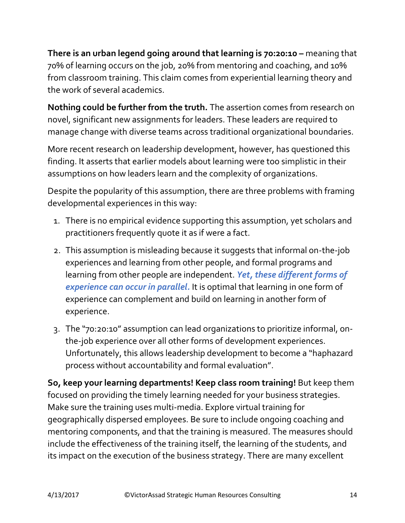**There is an urban legend going around that learning is 70:20:10 –** meaning that 70% of learning occurs on the job, 20% from mentoring and coaching, and 10% from classroom training. This claim comes from experiential learning theory and the work of several academics.

**Nothing could be further from the truth.** The assertion comes from research on novel, significant new assignments for leaders. These leaders are required to manage change with diverse teams across traditional organizational boundaries.

More recent research on leadership development, however, has questioned this finding. It asserts that earlier models about learning were too simplistic in their assumptions on how leaders learn and the complexity of organizations.

Despite the popularity of this assumption, there are three problems with framing developmental experiences in this way:

- 1. There is no empirical evidence supporting this assumption, yet scholars and practitioners frequently quote it as if were a fact.
- 2. This assumption is misleading because it suggests that informal on-the-job experiences and learning from other people, and formal programs and learning from other people are independent. *Yet, these different forms of experience can occur in parallel.* It is optimal that learning in one form of experience can complement and build on learning in another form of experience.
- 3. The "70:20:10" assumption can lead organizations to prioritize informal, onthe-job experience over all other forms of development experiences. Unfortunately, this allows leadership development to become a "haphazard process without accountability and formal evaluation".

**So, keep your learning departments! Keep class room training!** But keep them focused on providing the timely learning needed for your business strategies. Make sure the training uses multi-media. Explore virtual training for geographically dispersed employees. Be sure to include ongoing coaching and mentoring components, and that the training is measured. The measures should include the effectiveness of the training itself, the learning of the students, and its impact on the execution of the business strategy. There are many excellent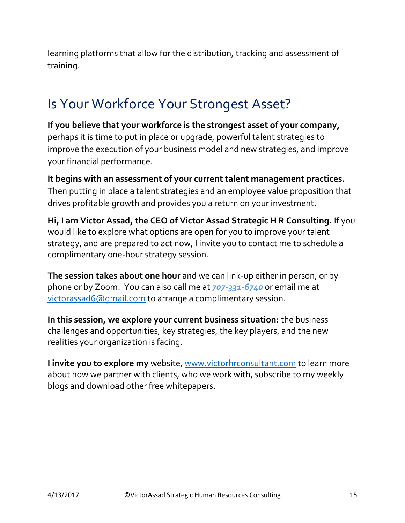learning platforms that allow for the distribution, tracking and assessment of training.

# Is Your Workforce Your Strongest Asset?

**If you believe that your workforce is the strongest asset of your company,**  perhaps it is time to put in place or upgrade, powerful talent strategies to improve the execution of your business model and new strategies, and improve your financial performance.

**It begins with an assessment of your current talent management practices.** Then putting in place a talent strategies and an employee value proposition that drives profitable growth and provides you a return on your investment.

**Hi, I am Victor Assad, the CEO of Victor Assad Strategic H R Consulting.** If you would like to explore what options are open for you to improve your talent strategy, and are prepared to act now, I invite you to contact me to schedule a complimentary one-hour strategy session.

**The session takes about one hour** and we can link-up either in person, or by phone or by Zoom. You can also call me at *707-331-6740* or email me at [victorassad6@gmail.com](mailto:victorassad6@gmail.com) to arrange a complimentary session.

**In this session, we explore your current business situation:** the business challenges and opportunities, key strategies, the key players, and the new realities your organization is facing.

**I invite you to explore my** website, [www.victorhrconsultant.com](http://www.victorhrconsultant.com/) to learn more about how we partner with clients, who we work with, subscribe to my weekly blogs and download other free whitepapers.